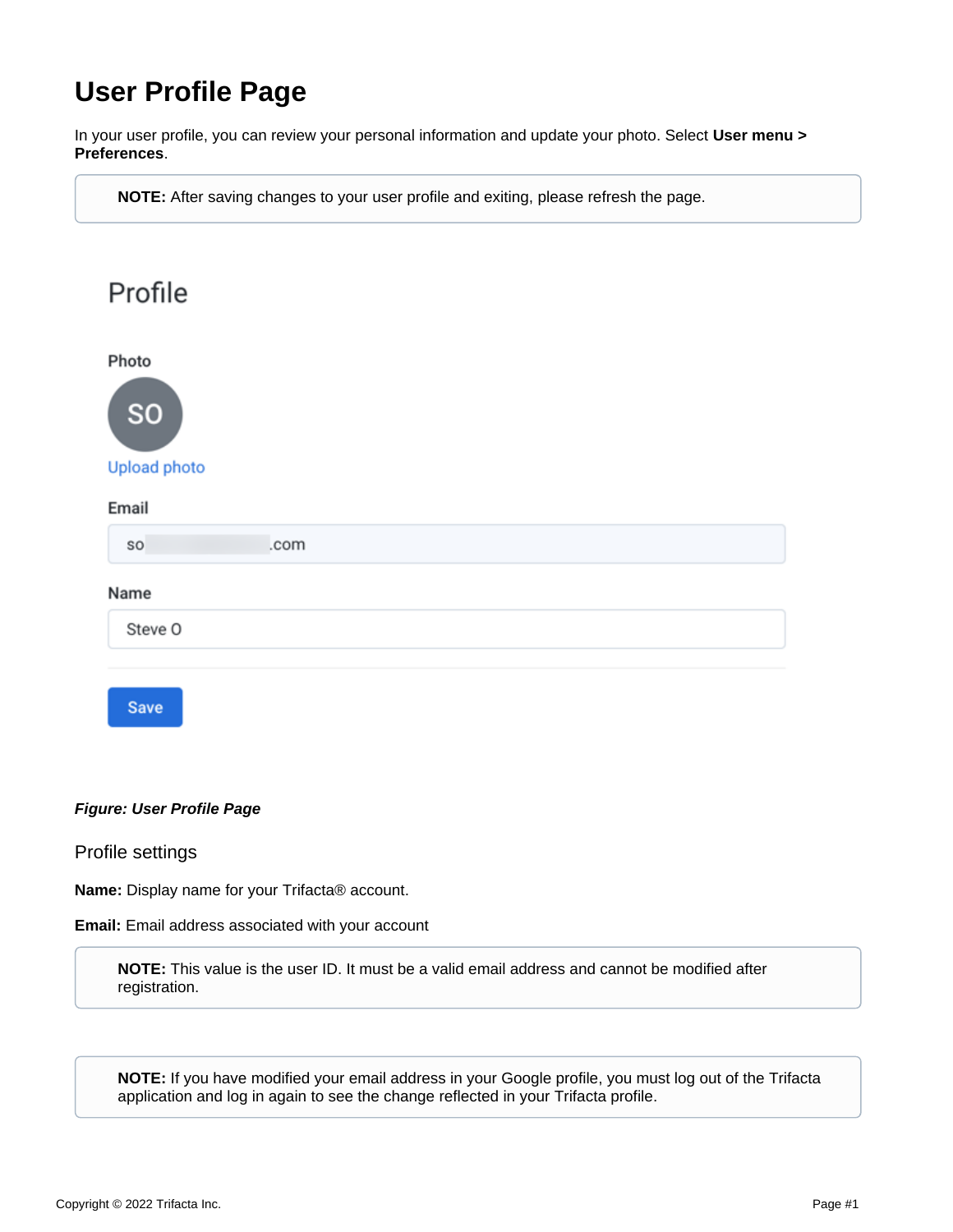# **User Profile Page**

In your user profile, you can review your personal information and update your photo. Select **User menu > Preferences**.

**NOTE:** After saving changes to your user profile and exiting, please refresh the page.

| Profile                                   |      |  |  |
|-------------------------------------------|------|--|--|
| Photo<br><b>SO</b><br><b>Upload photo</b> |      |  |  |
| Email                                     |      |  |  |
| so                                        | .com |  |  |
| Name                                      |      |  |  |
| Steve O                                   |      |  |  |
|                                           |      |  |  |
| <b>Save</b>                               |      |  |  |

## **Figure: User Profile Page**

## Profile settings

**Name:** Display name for your Trifacta® account.

**Email:** Email address associated with your account

**NOTE:** This value is the user ID. It must be a valid email address and cannot be modified after registration.

**NOTE:** If you have modified your email address in your Google profile, you must log out of the Trifacta application and log in again to see the change reflected in your Trifacta profile.